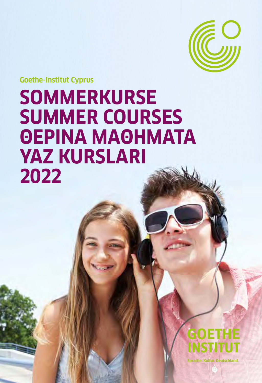

**Goethe-Institut Cyprus**

# **SOMMERKURSE SUMMER COURSES ΘΕΡΙΝΑ ΜΑΘΗΜΑΤΑ YAZ KURSLARI 2022**



**Sprache. Kultur. Deutschland.**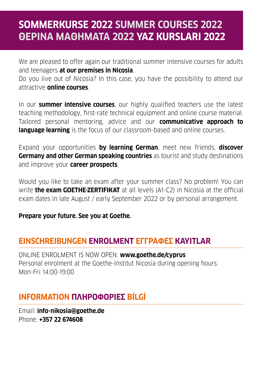## **SOMMERKURSE 2022 SUMMER COURSES 2022 ΘΕΡΙΝΑ ΜΑΘΗΜΑΤΑ 2022 YAZ KURSLARI 2022**

We are pleased to offer again our traditional summer intensive courses for adults and teenagers **at our premises in Nicosia**.

Do you live out of Nicosia? In this case, you have the possibility to attend our attractive **online courses**.

In our **summer intensive courses**, our highly qualified teachers use the latest teaching methodology, first-rate technical equipment and online course material. Tailored personal mentoring, advice and our **communicative approach to language learning** is the focus of our classroom-based and online courses.

Expand your opportunities **by learning German**, meet new friends, **discover Germany and other German speaking countries** as tourist and study destinations and improve your **career prospects**.

Would you like to take an exam after your summer class? No problem! You can write **the exam GOETHE-ZERTIFIKAT** at all levels (A1-C2) in Nicosia at the official exam dates in late August / early September 2022 or by personal arrangement.

**Prepare your future. See you at Goethe.**

#### **EINSCHREIBUNGEN ENROLMENT ΕΓΓΡΑΦΕΣ KAYITLAR**

ONLINE ENROLMENT IS NOW OPEN: **www.goethe.de/cyprus** Personal enrolment at the Goethe-Institut Nicosia during opening hours: Mon-Fri 14:00-19:00

## **INFORMATION ΠΛΗΡΟΦΟΡIΕΣ BİLGİ**

Email: **info-nikosia@goethe.de** Phone: **+357 22 674608**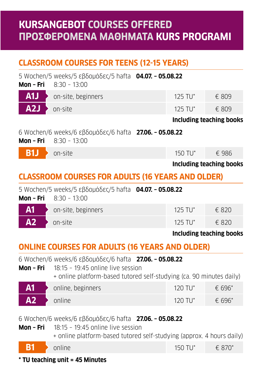## **KURSANGEBOT COURSES OFFERED ΠΡΟΣΦΕΡΟΜΕΝΑ ΜΑΘΗΜΑΤΑ KURS PROGRAMI**

## **CLASSROOM COURSES FOR TEENS (12-15 YEARS)**

| Mon - Fri                                             | 5 Wochen/5 weeks/5 εβδομάδες/5 hafta 04.07. - 05.08.22<br>$8:30 - 13:00$                                                                                              |  |                       |                                 |
|-------------------------------------------------------|-----------------------------------------------------------------------------------------------------------------------------------------------------------------------|--|-----------------------|---------------------------------|
| A1J                                                   | on-site, beginners                                                                                                                                                    |  | 125 TU*               | $£$ 809                         |
| A2J                                                   | on-site                                                                                                                                                               |  | $125$ TU <sup>*</sup> | € 809                           |
|                                                       |                                                                                                                                                                       |  |                       | Including teaching books        |
| Mon - Fri                                             | 6 Wochen/6 weeks/6 $\epsilon$ βδομάδες/6 hafta <b>27.06. - 05.08.22</b><br>$8:30 - 13:00$                                                                             |  |                       |                                 |
| <b>B1J</b>                                            | on-site                                                                                                                                                               |  | 150 TU*               | € 986                           |
|                                                       |                                                                                                                                                                       |  |                       | <b>Including teaching books</b> |
|                                                       | <b>CLASSROOM COURSES FOR ADULTS (16 YEARS AND OLDER)</b>                                                                                                              |  |                       |                                 |
|                                                       | 5 Wochen/5 weeks/5 εβδομάδες/5 hafta 04.07. - 05.08.22<br><b>Mon - Fri</b> $8:30 - 13:00$                                                                             |  |                       |                                 |
| A <sub>1</sub>                                        | on-site, beginners                                                                                                                                                    |  | 125 TU*               | € 820                           |
| A2                                                    | on-site                                                                                                                                                               |  | 125 TU*               | € 820                           |
|                                                       |                                                                                                                                                                       |  |                       | <b>Including teaching books</b> |
| <b>ONLINE COURSES FOR ADULTS (16 YEARS AND OLDER)</b> |                                                                                                                                                                       |  |                       |                                 |
| Mon - Fri                                             | 6 Wochen/6 weeks/6 εβδομάδες/6 hafta 27.06. - 05.08.22<br>$18:15 - 19:45$ online live session<br>+ online platform-based tutored self-studying (ca. 90 minutes daily) |  |                       |                                 |
| A <sub>1</sub>                                        | online, beginners                                                                                                                                                     |  | 120 TU*               | € 696*                          |
| A2                                                    | online                                                                                                                                                                |  | 120 TU*               | € 696*                          |
|                                                       |                                                                                                                                                                       |  |                       |                                 |
|                                                       | 6 Wochen/6 weeks/6 $\epsilon$ βδομάδες/6 hafta <b>27.06. - 05.08.22</b>                                                                                               |  |                       |                                 |

**Mon – Fri** 18:15 – 19:45 online live session + online platform-based tutored self-studying (approx. 4 hours daily) **B1 b** online 150 TU\* € 870\*

#### **\* TU teaching unit = 45 Minutes**